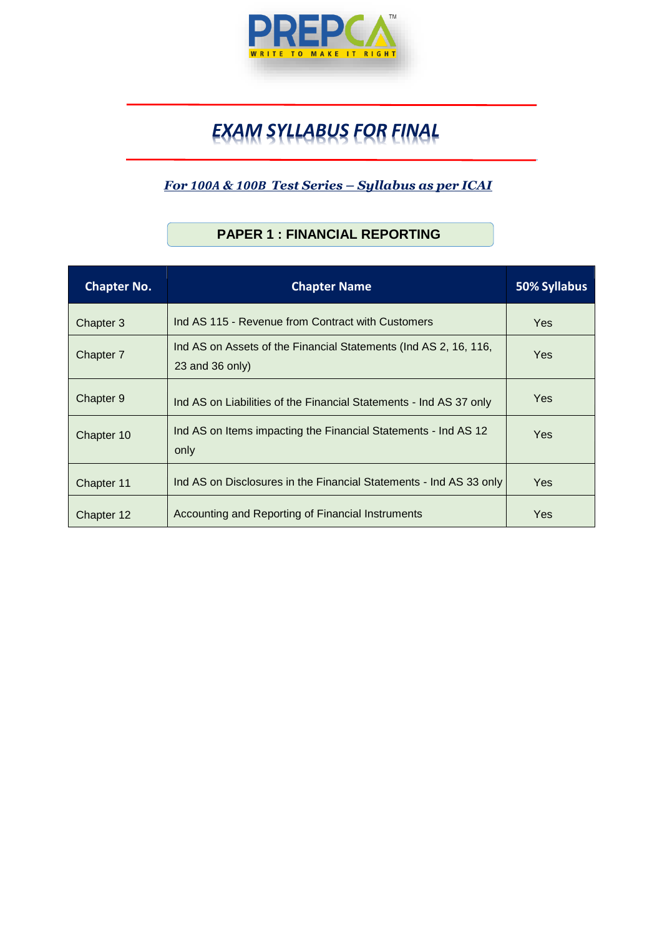

# *EXAM SYLLABUS FOR FINAL*

#### *For 100A & 100B Test Series – Syllabus as per ICAI*

## **Chapter No. Chapter Name 50% Syllabus** Chapter 3 | Ind AS 115 - Revenue from Contract with Customers | Yes Chapter 7 Ind AS on Assets of the Financial Statements (Ind AS 2, 16, 116, 23 and 36 only) Yes Chapter 9 Ind AS on Liabilities of the Financial Statements - Ind AS 37 only Yes Chapter 10 | Ind AS on Items impacting the Financial Statements - Ind AS 12 only Yes Chapter 11 | Ind AS on Disclosures in the Financial Statements - Ind AS 33 only | Yes Chapter 12 Accounting and Reporting of Financial Instruments **Accounting and Reporting of Financial Instruments**

#### **PAPER 1 : FINANCIAL REPORTING**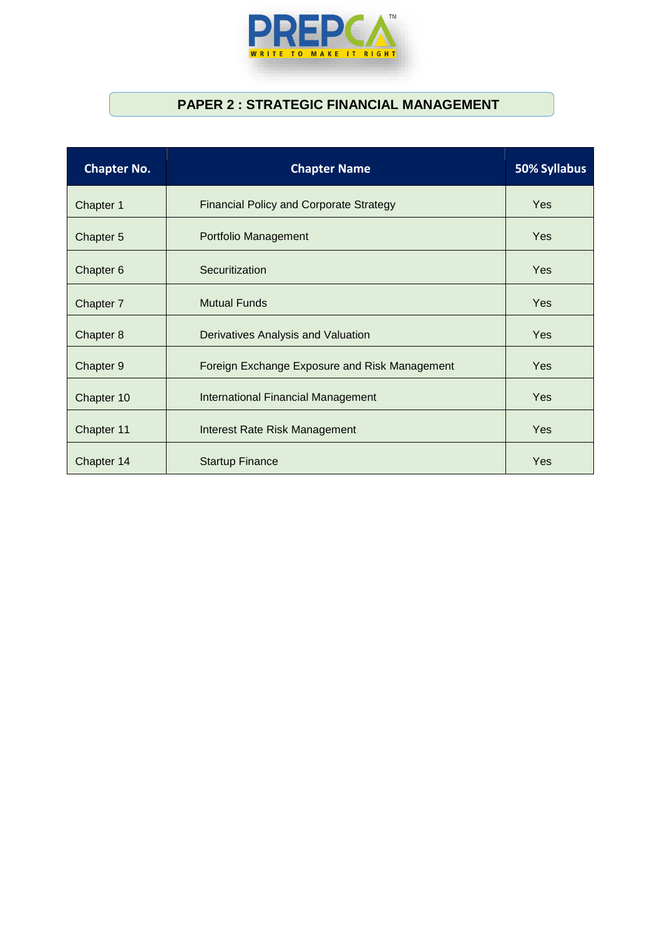

#### **PAPER 2 : STRATEGIC FINANCIAL MANAGEMENT**

| <b>Chapter No.</b> | <b>Chapter Name</b>                            | 50% Syllabus |
|--------------------|------------------------------------------------|--------------|
| Chapter 1          | <b>Financial Policy and Corporate Strategy</b> | <b>Yes</b>   |
| Chapter 5          | Portfolio Management                           | <b>Yes</b>   |
| Chapter 6          | Securitization                                 | <b>Yes</b>   |
| Chapter 7          | <b>Mutual Funds</b>                            | <b>Yes</b>   |
| Chapter 8          | Derivatives Analysis and Valuation             | <b>Yes</b>   |
| Chapter 9          | Foreign Exchange Exposure and Risk Management  | <b>Yes</b>   |
| Chapter 10         | <b>International Financial Management</b>      | <b>Yes</b>   |
| Chapter 11         | Interest Rate Risk Management                  | <b>Yes</b>   |
| Chapter 14         | <b>Startup Finance</b>                         | Yes          |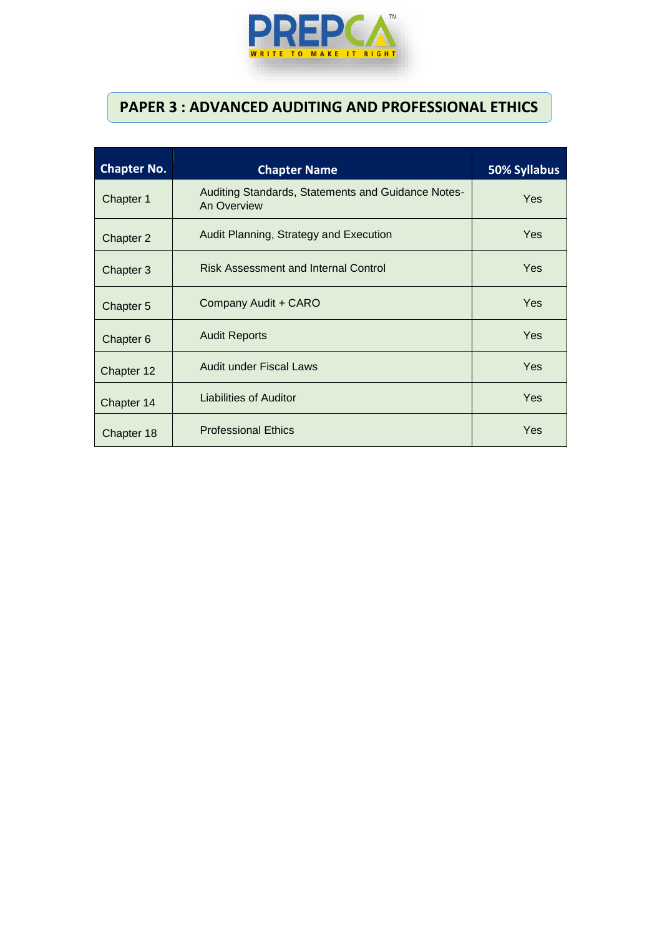

## **PAPER 3 : ADVANCED AUDITING AND PROFESSIONAL ETHICS**

| <b>Chapter No.</b> | <b>Chapter Name</b>                                               | 50% Syllabus |
|--------------------|-------------------------------------------------------------------|--------------|
| Chapter 1          | Auditing Standards, Statements and Guidance Notes-<br>An Overview | Yes          |
| Chapter 2          | Audit Planning, Strategy and Execution                            | Yes          |
| Chapter 3          | <b>Risk Assessment and Internal Control</b>                       | Yes          |
| Chapter 5          | Company Audit + CARO                                              | Yes          |
| Chapter 6          | <b>Audit Reports</b>                                              | Yes          |
| Chapter 12         | <b>Audit under Fiscal Laws</b>                                    | Yes          |
| Chapter 14         | Liabilities of Auditor                                            | Yes          |
| Chapter 18         | <b>Professional Ethics</b>                                        | Yes          |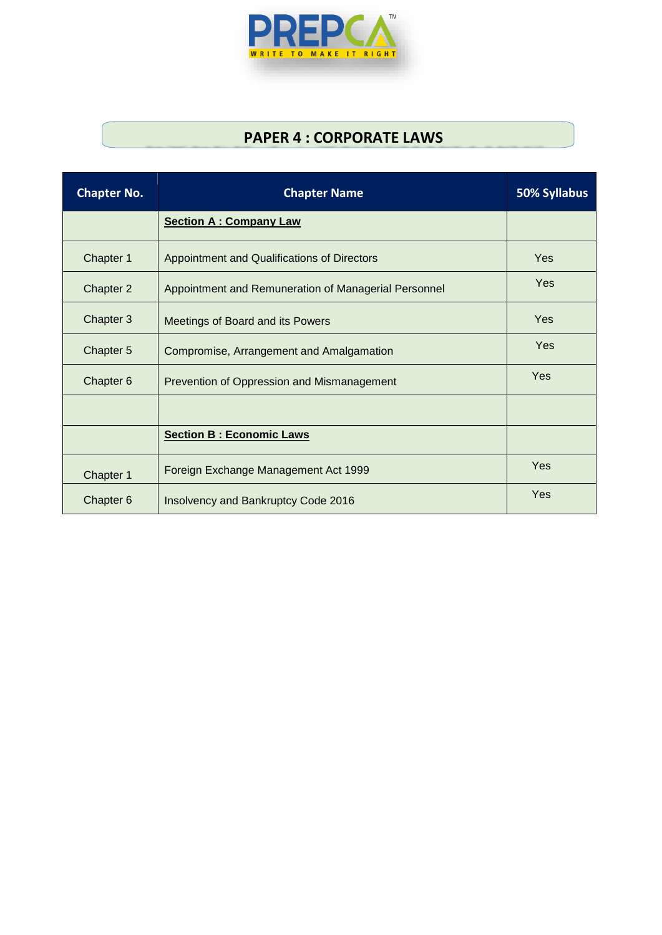

## **PAPER 4 : CORPORATE LAWS**

| <b>Chapter No.</b> | <b>Chapter Name</b>                                  | 50% Syllabus |
|--------------------|------------------------------------------------------|--------------|
|                    | <b>Section A: Company Law</b>                        |              |
| Chapter 1          | Appointment and Qualifications of Directors          | <b>Yes</b>   |
| Chapter 2          | Appointment and Remuneration of Managerial Personnel | Yes          |
| Chapter 3          | Meetings of Board and its Powers                     | Yes          |
| Chapter 5          | Compromise, Arrangement and Amalgamation             | Yes          |
| Chapter 6          | Prevention of Oppression and Mismanagement           | Yes          |
|                    |                                                      |              |
|                    | <b>Section B: Economic Laws</b>                      |              |
| Chapter 1          | Foreign Exchange Management Act 1999                 | Yes          |
| Chapter 6          | Insolvency and Bankruptcy Code 2016                  | Yes          |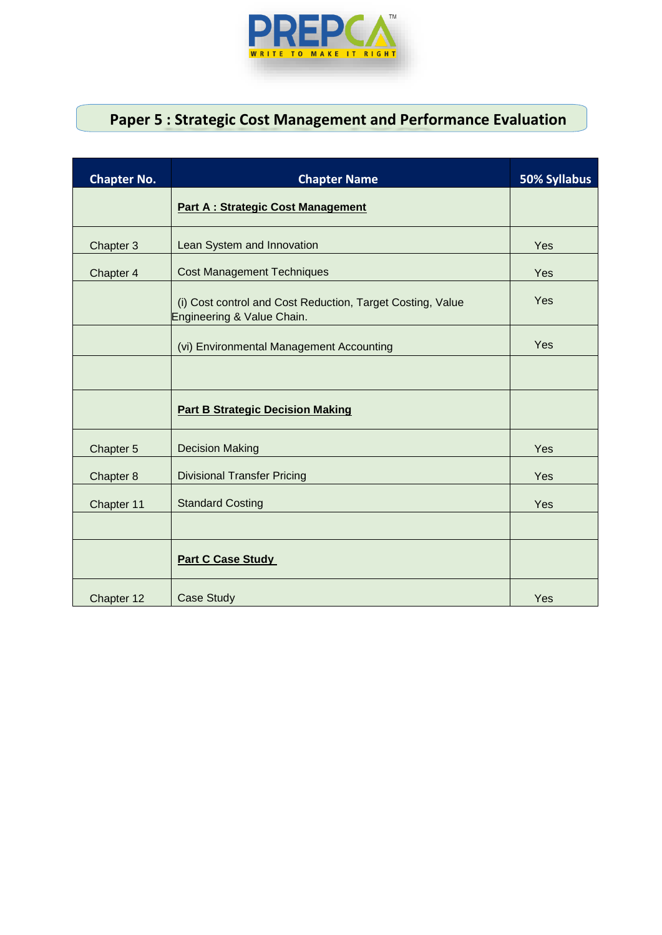

# **Paper 5 : Strategic Cost Management and Performance Evaluation**

| <b>Chapter No.</b> | <b>Chapter Name</b>                                                                      | 50% Syllabus |
|--------------------|------------------------------------------------------------------------------------------|--------------|
|                    | <b>Part A: Strategic Cost Management</b>                                                 |              |
| Chapter 3          | Lean System and Innovation                                                               | Yes          |
| Chapter 4          | <b>Cost Management Techniques</b>                                                        | Yes          |
|                    | (i) Cost control and Cost Reduction, Target Costing, Value<br>Engineering & Value Chain. | Yes          |
|                    | (vi) Environmental Management Accounting                                                 | Yes          |
|                    |                                                                                          |              |
|                    | <b>Part B Strategic Decision Making</b>                                                  |              |
| Chapter 5          | <b>Decision Making</b>                                                                   | Yes          |
| Chapter 8          | <b>Divisional Transfer Pricing</b>                                                       | Yes          |
| Chapter 11         | <b>Standard Costing</b>                                                                  | Yes          |
|                    |                                                                                          |              |
|                    | <b>Part C Case Study</b>                                                                 |              |
| Chapter 12         | <b>Case Study</b>                                                                        | Yes          |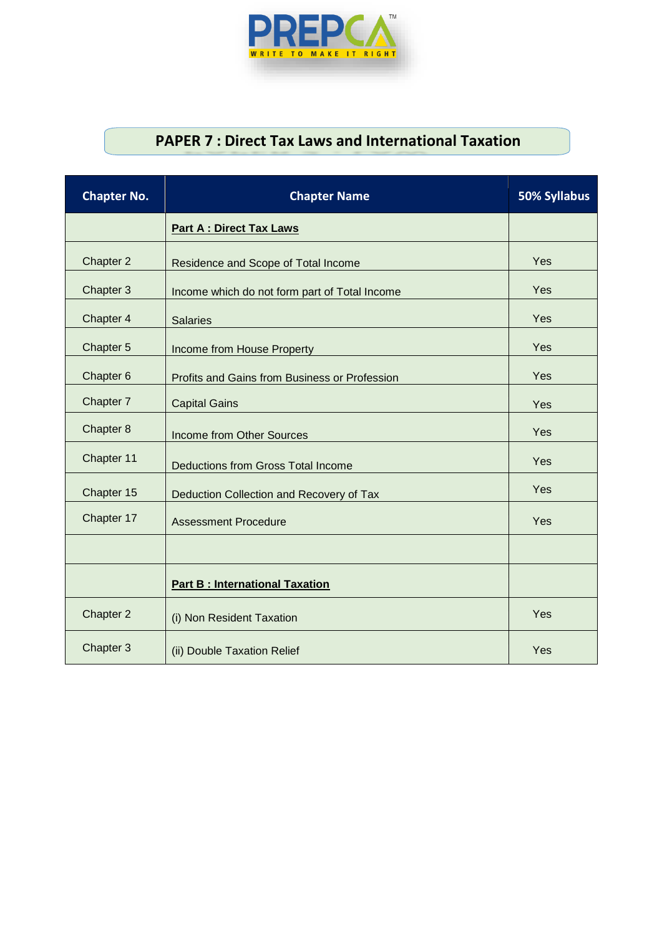

## **PAPER 7 : Direct Tax Laws and International Taxation**

| <b>Chapter No.</b> | <b>Chapter Name</b>                           | 50% Syllabus |
|--------------------|-----------------------------------------------|--------------|
|                    | <b>Part A : Direct Tax Laws</b>               |              |
| Chapter 2          | Residence and Scope of Total Income           | Yes          |
| Chapter 3          | Income which do not form part of Total Income | Yes          |
| Chapter 4          | <b>Salaries</b>                               | Yes          |
| Chapter 5          | Income from House Property                    | Yes          |
| Chapter 6          | Profits and Gains from Business or Profession | Yes          |
| Chapter 7          | <b>Capital Gains</b>                          | Yes          |
| Chapter 8          | <b>Income from Other Sources</b>              | Yes          |
| Chapter 11         | <b>Deductions from Gross Total Income</b>     | Yes          |
| Chapter 15         | Deduction Collection and Recovery of Tax      | Yes          |
| Chapter 17         | <b>Assessment Procedure</b>                   | Yes          |
|                    |                                               |              |
|                    | <b>Part B: International Taxation</b>         |              |
| Chapter 2          | (i) Non Resident Taxation                     | Yes          |
| Chapter 3          | (ii) Double Taxation Relief                   | Yes          |